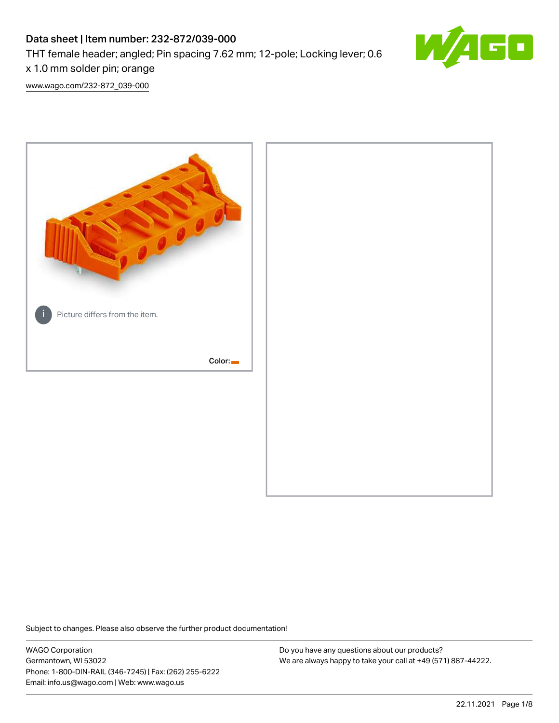# Data sheet | Item number: 232-872/039-000 THT female header; angled; Pin spacing 7.62 mm; 12-pole; Locking lever; 0.6 x 1.0 mm solder pin; orange



[www.wago.com/232-872\\_039-000](http://www.wago.com/232-872_039-000)



Subject to changes. Please also observe the further product documentation!

WAGO Corporation Germantown, WI 53022 Phone: 1-800-DIN-RAIL (346-7245) | Fax: (262) 255-6222 Email: info.us@wago.com | Web: www.wago.us

Do you have any questions about our products? We are always happy to take your call at +49 (571) 887-44222.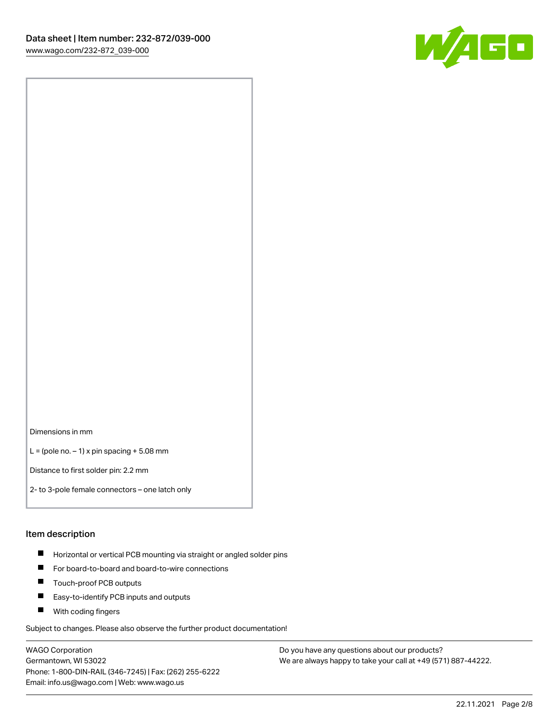

Dimensions in mm

 $L =$  (pole no.  $-1$ ) x pin spacing  $+5.08$  mm

Distance to first solder pin: 2.2 mm

2- to 3-pole female connectors – one latch only

#### Item description

- **Horizontal or vertical PCB mounting via straight or angled solder pins**
- For board-to-board and board-to-wire connections
- $\blacksquare$ Touch-proof PCB outputs
- $\blacksquare$ Easy-to-identify PCB inputs and outputs
- **Now With coding fingers**

Subject to changes. Please also observe the further product documentation!

WAGO Corporation Germantown, WI 53022 Phone: 1-800-DIN-RAIL (346-7245) | Fax: (262) 255-6222 Email: info.us@wago.com | Web: www.wago.us

Do you have any questions about our products? We are always happy to take your call at +49 (571) 887-44222.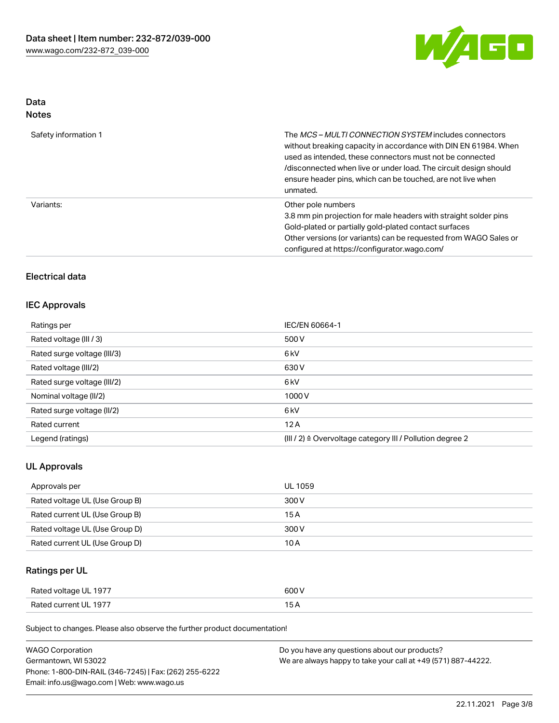

# Data

| Safety information 1 | The <i>MCS – MULTI CONNECTION SYSTEM</i> includes connectors<br>without breaking capacity in accordance with DIN EN 61984. When<br>used as intended, these connectors must not be connected<br>/disconnected when live or under load. The circuit design should<br>ensure header pins, which can be touched, are not live when<br>unmated. |
|----------------------|--------------------------------------------------------------------------------------------------------------------------------------------------------------------------------------------------------------------------------------------------------------------------------------------------------------------------------------------|
| Variants:            | Other pole numbers<br>3.8 mm pin projection for male headers with straight solder pins<br>Gold-plated or partially gold-plated contact surfaces<br>Other versions (or variants) can be requested from WAGO Sales or<br>configured at https://configurator.wago.com/                                                                        |

# Electrical data

## IEC Approvals

| Ratings per                 | IEC/EN 60664-1                                                       |  |
|-----------------------------|----------------------------------------------------------------------|--|
| Rated voltage (III / 3)     | 500 V                                                                |  |
| Rated surge voltage (III/3) | 6 <sub>k</sub> V                                                     |  |
| Rated voltage (III/2)       | 630 V                                                                |  |
| Rated surge voltage (III/2) | 6 <sub>k</sub> V                                                     |  |
| Nominal voltage (II/2)      | 1000V                                                                |  |
| Rated surge voltage (II/2)  | 6 <sub>k</sub> V                                                     |  |
| Rated current               | 12A                                                                  |  |
| Legend (ratings)            | (III / 2) $\triangleq$ Overvoltage category III / Pollution degree 2 |  |

## UL Approvals

| Approvals per                  | UL 1059 |
|--------------------------------|---------|
| Rated voltage UL (Use Group B) | 300 V   |
| Rated current UL (Use Group B) | 15 A    |
| Rated voltage UL (Use Group D) | 300 V   |
| Rated current UL (Use Group D) | 10 A    |

# Ratings per UL

| Rated voltage UL 1977 | 600 V |
|-----------------------|-------|
| Rated current UL 1977 |       |

Subject to changes. Please also observe the further product documentation!

| <b>WAGO Corporation</b>                                | Do you have any questions about our products?                 |
|--------------------------------------------------------|---------------------------------------------------------------|
| Germantown, WI 53022                                   | We are always happy to take your call at +49 (571) 887-44222. |
| Phone: 1-800-DIN-RAIL (346-7245)   Fax: (262) 255-6222 |                                                               |
| Email: info.us@wago.com   Web: www.wago.us             |                                                               |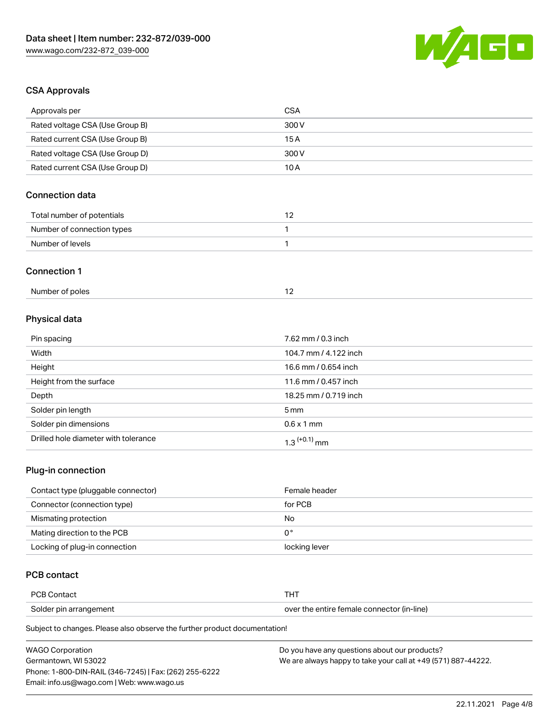

# CSA Approvals

| Approvals per                   | <b>CSA</b>            |  |
|---------------------------------|-----------------------|--|
| Rated voltage CSA (Use Group B) | 300V                  |  |
| Rated current CSA (Use Group B) | 15A                   |  |
| Rated voltage CSA (Use Group D) | 300V                  |  |
| Rated current CSA (Use Group D) | 10A                   |  |
| <b>Connection data</b>          |                       |  |
| Total number of potentials      | 12                    |  |
| Number of connection types      | 1                     |  |
| Number of levels                | 1                     |  |
| <b>Connection 1</b>             |                       |  |
| Number of poles                 | 12                    |  |
| Physical data                   |                       |  |
| Pin spacing                     | 7.62 mm / 0.3 inch    |  |
| Width                           | 104.7 mm / 4.122 inch |  |
| Height                          | 16.6 mm / 0.654 inch  |  |
| Height from the surface         | 11.6 mm / 0.457 inch  |  |
| Depth                           | 18.25 mm / 0.719 inch |  |
| Solder pin length               | 5 <sub>mm</sub>       |  |
| Solder pin dimensions           | $0.6 \times 1$ mm     |  |

## Plug-in connection

| Contact type (pluggable connector) | Female header |
|------------------------------------|---------------|
| Connector (connection type)        | for PCB       |
| Mismating protection               | No            |
| Mating direction to the PCB        | 0°            |
| Locking of plug-in connection      | locking lever |

# PCB contact

| or                     | ГHТ                                 |
|------------------------|-------------------------------------|
| `∩ntor                 |                                     |
| Solder pin arrangement | e entire female connector (in-line) |

Subject to changes. Please also observe the further product documentation!

Drilled hole diameter with tolerance  $1.3$   $(+0.1)$  mm

| <b>WAGO Corporation</b>                                | Do you have any questions about our products?                 |
|--------------------------------------------------------|---------------------------------------------------------------|
| Germantown. WI 53022                                   | We are always happy to take your call at +49 (571) 887-44222. |
| Phone: 1-800-DIN-RAIL (346-7245)   Fax: (262) 255-6222 |                                                               |
| Email: info.us@wago.com   Web: www.wago.us             |                                                               |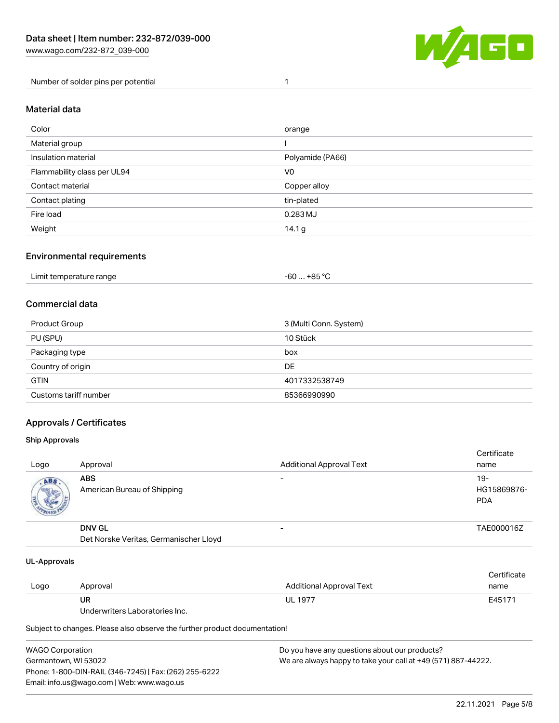

Number of solder pins per potential 1

#### Material data

| Color                       | orange           |
|-----------------------------|------------------|
| Material group              |                  |
| Insulation material         | Polyamide (PA66) |
| Flammability class per UL94 | V <sub>0</sub>   |
| Contact material            | Copper alloy     |
| Contact plating             | tin-plated       |
| Fire load                   | $0.283$ MJ       |
| Weight                      | 14.1 g           |

## Environmental requirements

| Limit temperature range<br>. | +85 °C<br>-60 |  |
|------------------------------|---------------|--|
|------------------------------|---------------|--|

## Commercial data

| Product Group         | 3 (Multi Conn. System) |
|-----------------------|------------------------|
| PU (SPU)              | 10 Stück               |
| Packaging type        | box                    |
| Country of origin     | DE                     |
| <b>GTIN</b>           | 4017332538749          |
| Customs tariff number | 85366990990            |

## Approvals / Certificates

#### Ship Approvals

| Logo | Approval                                                | <b>Additional Approval Text</b> | Certificate<br>name                |
|------|---------------------------------------------------------|---------------------------------|------------------------------------|
| ABS  | <b>ABS</b><br>American Bureau of Shipping               | -                               | $19-$<br>HG15869876-<br><b>PDA</b> |
|      | <b>DNV GL</b><br>Det Norske Veritas, Germanischer Lloyd | $\overline{\phantom{0}}$        | TAE000016Z                         |

#### UL-Approvals

| Logo | Approval                       | Additional Approval Text | Certificate<br>name |
|------|--------------------------------|--------------------------|---------------------|
|      | UR                             | <b>UL 1977</b>           | E45171              |
|      | Underwriters Laboratories Inc. |                          |                     |

Subject to changes. Please also observe the further product documentation!

| <b>WAGO Corporation</b>                                | Do you have any questions about our products?                 |
|--------------------------------------------------------|---------------------------------------------------------------|
| Germantown, WI 53022                                   | We are always happy to take your call at +49 (571) 887-44222. |
| Phone: 1-800-DIN-RAIL (346-7245)   Fax: (262) 255-6222 |                                                               |
| Email: info.us@wago.com   Web: www.wago.us             |                                                               |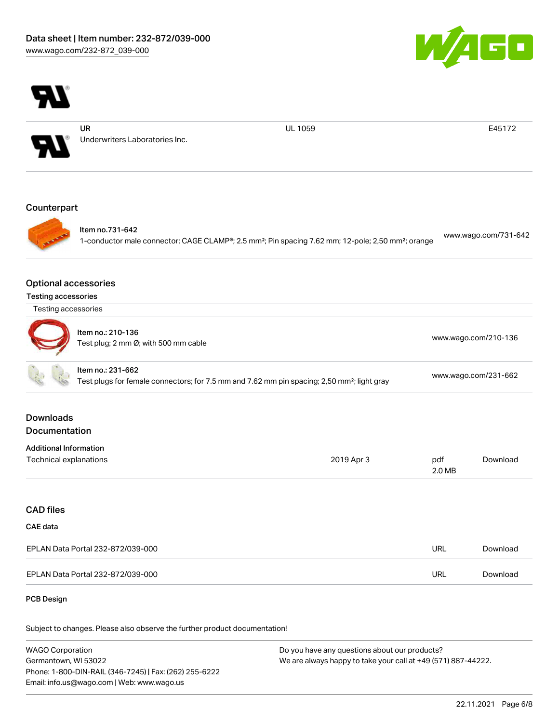



UR Underwriters Laboratories Inc. UL 1059 E45172

### **Counterpart**



Item no.731-642

1-conductor male connector; CAGE CLAMP®; 2.5 mm²; Pin spacing 7.62 mm; 12-pole; 2,50 mm²; orange [www.wago.com/731-642](https://www.wago.com/731-642)

#### Optional accessories

Testing accessories

Testing accessories

| ltem no.: 210-136<br>J)<br>Test plug; 2 mm Ø; with 500 mm cable | www.wago.com/210-136 |
|-----------------------------------------------------------------|----------------------|
|-----------------------------------------------------------------|----------------------|

|  | ltem no.: 231-662                                                                                       |                      |
|--|---------------------------------------------------------------------------------------------------------|----------------------|
|  | Test plugs for female connectors; for 7.5 mm and 7.62 mm pin spacing; 2,50 mm <sup>2</sup> ; light gray | www.wago.com/231-662 |

## Downloads Documentation

| <b>Additional Information</b> |            |        |          |
|-------------------------------|------------|--------|----------|
| Technical explanations        | 2019 Apr 3 | pdf    | Download |
|                               |            | 2.0 MB |          |

# CAD files

# CAE data

| EPLAN Data Portal 232-872/039-000 | URL | Download |
|-----------------------------------|-----|----------|
| EPLAN Data Portal 232-872/039-000 | URL | Download |

#### PCB Design

Subject to changes. Please also observe the further product documentation!

WAGO Corporation Germantown, WI 53022 Phone: 1-800-DIN-RAIL (346-7245) | Fax: (262) 255-6222 Email: info.us@wago.com | Web: www.wago.us Do you have any questions about our products? We are always happy to take your call at +49 (571) 887-44222.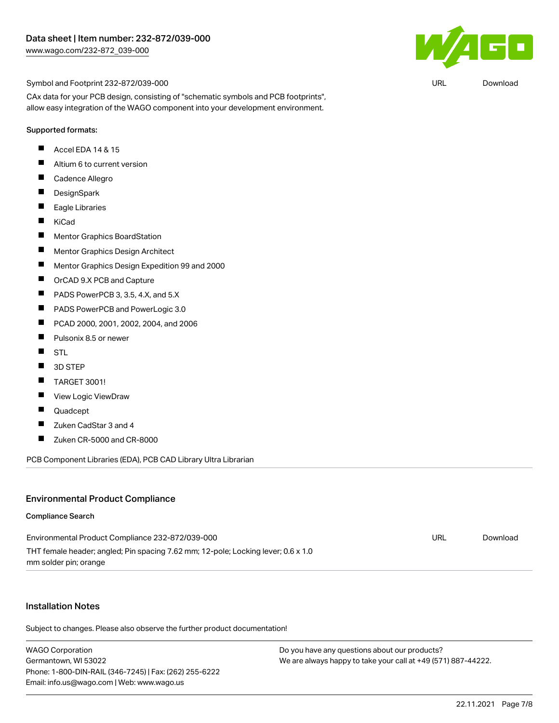

Symbol and Footprint 232-872/039-000

CAx data for your PCB design, consisting of "schematic symbols and PCB footprints", allow easy integration of the WAGO component into your development environment.

#### Supported formats:

- П Accel EDA 14 & 15
- $\blacksquare$ Altium 6 to current version
- $\blacksquare$ Cadence Allegro
- $\blacksquare$ **DesignSpark**
- $\blacksquare$ Eagle Libraries
- $\blacksquare$ KiCad
- $\blacksquare$ Mentor Graphics BoardStation
- $\blacksquare$ Mentor Graphics Design Architect
- $\blacksquare$ Mentor Graphics Design Expedition 99 and 2000
- $\blacksquare$ OrCAD 9.X PCB and Capture
- П PADS PowerPCB 3, 3.5, 4.X, and 5.X
- $\blacksquare$ PADS PowerPCB and PowerLogic 3.0
- $\blacksquare$ PCAD 2000, 2001, 2002, 2004, and 2006
- $\blacksquare$ Pulsonix 8.5 or newer
- $\blacksquare$ STL
- $\blacksquare$ 3D STEP
- $\blacksquare$ TARGET 3001!
- $\blacksquare$ View Logic ViewDraw
- П Quadcept
- $\blacksquare$ Zuken CadStar 3 and 4
- $\blacksquare$ Zuken CR-5000 and CR-8000

PCB Component Libraries (EDA), PCB CAD Library Ultra Librarian

### Environmental Product Compliance

#### Compliance Search

| Environmental Product Compliance 232-872/039-000                                  | URL | Download |
|-----------------------------------------------------------------------------------|-----|----------|
| THT female header; angled; Pin spacing 7.62 mm; 12-pole; Locking lever; 0.6 x 1.0 |     |          |
| mm solder pin; orange                                                             |     |          |

## Installation Notes

Subject to changes. Please also observe the further product documentation!

WAGO Corporation Germantown, WI 53022 Phone: 1-800-DIN-RAIL (346-7245) | Fax: (262) 255-6222 Email: info.us@wago.com | Web: www.wago.us

Do you have any questions about our products? We are always happy to take your call at +49 (571) 887-44222.

URL [Download](https://www.wago.com/global/d/UltraLibrarian_URLS_232-872_039-000)